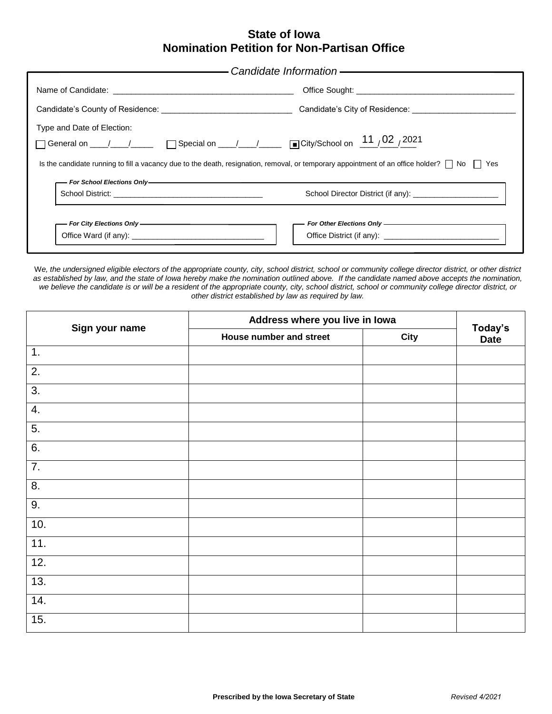11 02 2021

 $\mathbf{u} = \mathbf{u} \times \mathbf{u}$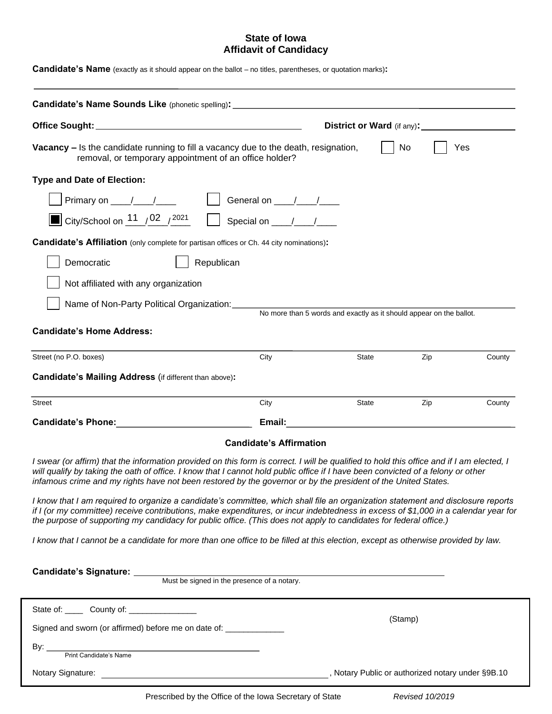$11 \t 02 \t 2021$